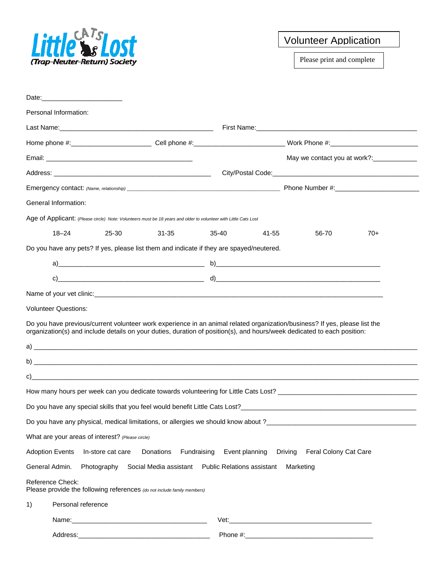

## Volunteer Application

Please print and complete

| Personal Information:                                                                                                                                                                                                                                                                  |                   |                                                    |       |                           |                       |       |
|----------------------------------------------------------------------------------------------------------------------------------------------------------------------------------------------------------------------------------------------------------------------------------------|-------------------|----------------------------------------------------|-------|---------------------------|-----------------------|-------|
|                                                                                                                                                                                                                                                                                        |                   |                                                    |       |                           |                       |       |
| Home phone #:_____________________________Cell phone #:________________________________Work Phone #:__________________________________                                                                                                                                                 |                   |                                                    |       |                           |                       |       |
|                                                                                                                                                                                                                                                                                        |                   |                                                    |       |                           |                       |       |
|                                                                                                                                                                                                                                                                                        |                   |                                                    |       |                           |                       |       |
|                                                                                                                                                                                                                                                                                        |                   |                                                    |       |                           |                       |       |
| General Information:                                                                                                                                                                                                                                                                   |                   |                                                    |       |                           |                       |       |
| Age of Applicant: (Please circle) Note: Volunteers must be 18 years and older to volunteer with Little Cats Lost                                                                                                                                                                       |                   |                                                    |       |                           |                       |       |
| $18 - 24$                                                                                                                                                                                                                                                                              | 25-30             | 31-35                                              | 35-40 | 41-55                     | 56-70                 | $70+$ |
| Do you have any pets? If yes, please list them and indicate if they are spayed/neutered.                                                                                                                                                                                               |                   |                                                    |       |                           |                       |       |
|                                                                                                                                                                                                                                                                                        |                   |                                                    |       |                           |                       |       |
|                                                                                                                                                                                                                                                                                        |                   | c) $\qquad d)$                                     |       |                           |                       |       |
|                                                                                                                                                                                                                                                                                        |                   |                                                    |       |                           |                       |       |
|                                                                                                                                                                                                                                                                                        |                   |                                                    |       |                           |                       |       |
| <b>Volunteer Questions:</b>                                                                                                                                                                                                                                                            |                   |                                                    |       |                           |                       |       |
| Do you have previous/current volunteer work experience in an animal related organization/business? If yes, please list the<br>organization(s) and include details on your duties, duration of position(s), and hours/week dedicated to each position:<br>$a)$ $\overline{\phantom{a}}$ |                   |                                                    |       |                           |                       |       |
| $\mathsf{b)}$                                                                                                                                                                                                                                                                          |                   |                                                    |       |                           |                       |       |
|                                                                                                                                                                                                                                                                                        |                   |                                                    |       |                           |                       |       |
| How many hours per week can you dedicate towards volunteering for Little Cats Lost? [100] How many hours per week can you dedicate towards volunteering for Little Cats Lost?                                                                                                          |                   |                                                    |       |                           |                       |       |
|                                                                                                                                                                                                                                                                                        |                   |                                                    |       |                           |                       |       |
| Do you have any physical, medical limitations, or allergies we should know about ?____________________________                                                                                                                                                                         |                   |                                                    |       |                           |                       |       |
| What are your areas of interest? (Please circle)                                                                                                                                                                                                                                       |                   |                                                    |       |                           |                       |       |
| <b>Adoption Events</b>                                                                                                                                                                                                                                                                 | In-store cat care | Donations<br>Fundraising                           |       | Driving<br>Event planning | Feral Colony Cat Care |       |
| General Admin.                                                                                                                                                                                                                                                                         | Photography       | Social Media assistant  Public Relations assistant |       |                           | Marketing             |       |
| Reference Check:<br>Please provide the following references (do not include family members)                                                                                                                                                                                            |                   |                                                    |       |                           |                       |       |
| Personal reference<br>1)                                                                                                                                                                                                                                                               |                   |                                                    |       |                           |                       |       |
|                                                                                                                                                                                                                                                                                        |                   |                                                    |       |                           |                       |       |